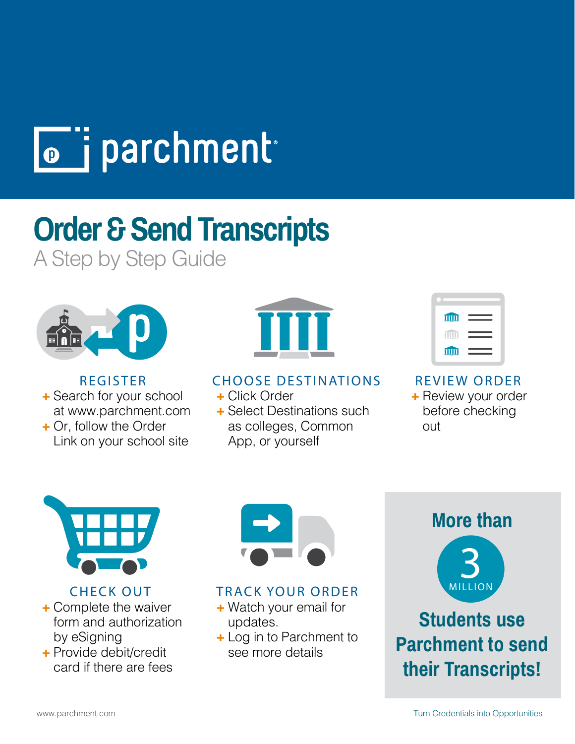

# **Order & Send Transcripts**

A Step by Step Guide



REGISTER **+** Search for your school

at www.parchment.com **+** Or, follow the Order

Link on your school site



### CHOOSE DESTINATIONS

- **+** Click Order
- **+** Select Destinations such as colleges, Common App, or yourself

| <b>TITTE</b> |  |
|--------------|--|
|              |  |
| <b>TITT</b>  |  |

REVIEW ORDER

**+** Review your order before checking out



CHECK OUT

- **+** Complete the waiver form and authorization by eSigning
- **+** Provide debit/credit card if there are fees



# TRACK YOUR ORDER

- **+** Watch your email for updates.
- **+** Log in to Parchment to see more details



**Students use Parchment to send their Transcripts!**